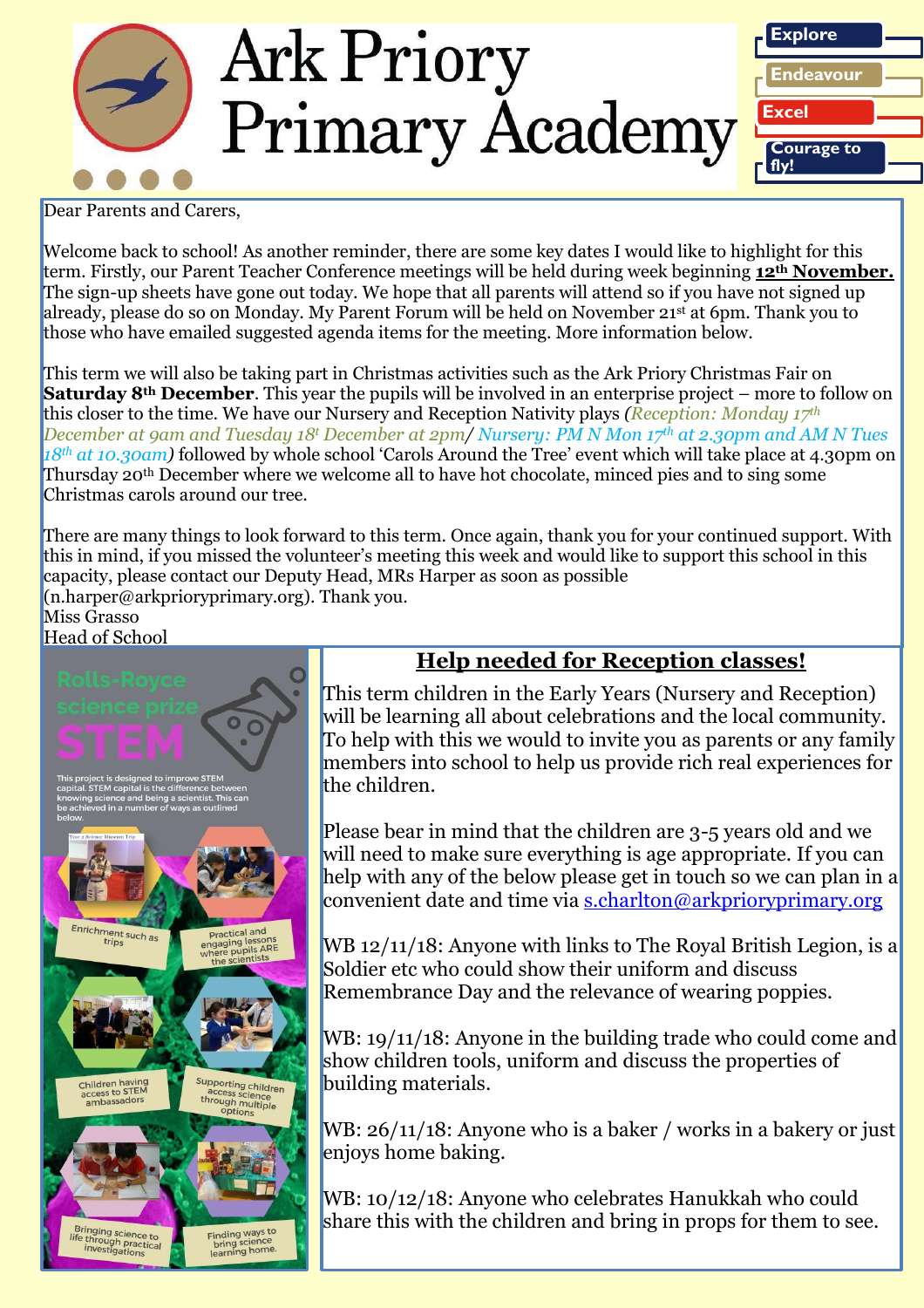

Dear Parents and Carers.

Welcome back to school! As another reminder, there are some key dates I would like to highlight for this term. Firstly, our Parent Teacher Conference meetings will be held during week beginning **12th November.** The sign-up sheets have gone out today. We hope that all parents will attend so if you have not signed up already, please do so on Monday. My Parent Forum will be held on November 21st at 6pm. Thank you to those who have emailed suggested agenda items for the meeting. More information below.

This term we will also be taking part in Christmas activities such as the Ark Priory Christmas Fair on **Saturday 8th December**. This year the pupils will be involved in an enterprise project – more to follow on this closer to the time. We have our Nursery and Reception Nativity plays *(Reception: Monday 17th December at 9am and Tuesday 18<sup>t</sup> December at 2pm/ Nursery: PM N Mon 17th at 2.30pm and AM N Tues 18th at 10.30am)* followed by whole school 'Carols Around the Tree' event which will take place at 4.30pm on Thursday 20th December where we welcome all to have hot chocolate, minced pies and to sing some Christmas carols around our tree.

There are many things to look forward to this term. Once again, thank you for your continued support. With this in mind, if you missed the volunteer's meeting this week and would like to support this school in this capacity, please contact our Deputy Head, MRs Harper as soon as possible  $(n.harper@arkprioryprime.org)$ . Thank you.

Miss Grasso Head of School



# **Help needed for Reception classes!**

This term children in the Early Years (Nursery and Reception) will be learning all about celebrations and the local community. To help with this we would to invite you as parents or any family members into school to help us provide rich real experiences for the children.

Please bear in mind that the children are 3-5 years old and we will need to make sure everything is age appropriate. If you can help with any of the below please get in touch so we can plan in a convenient date and time via [s.charlton@arkprioryprimary.org](mailto:s.charlton@arkprioryprimary.org)

WB 12/11/18: Anyone with links to The Royal British Legion, is a Soldier etc who could show their uniform and discuss Remembrance Day and the relevance of wearing poppies.

WB: 19/11/18: Anyone in the building trade who could come and show children tools, uniform and discuss the properties of building materials.

WB:  $26/11/18$ : Anyone who is a baker / works in a bakery or just enjoys home baking.

WB: 10/12/18: Anyone who celebrates Hanukkah who could share this with the children and bring in props for them to see.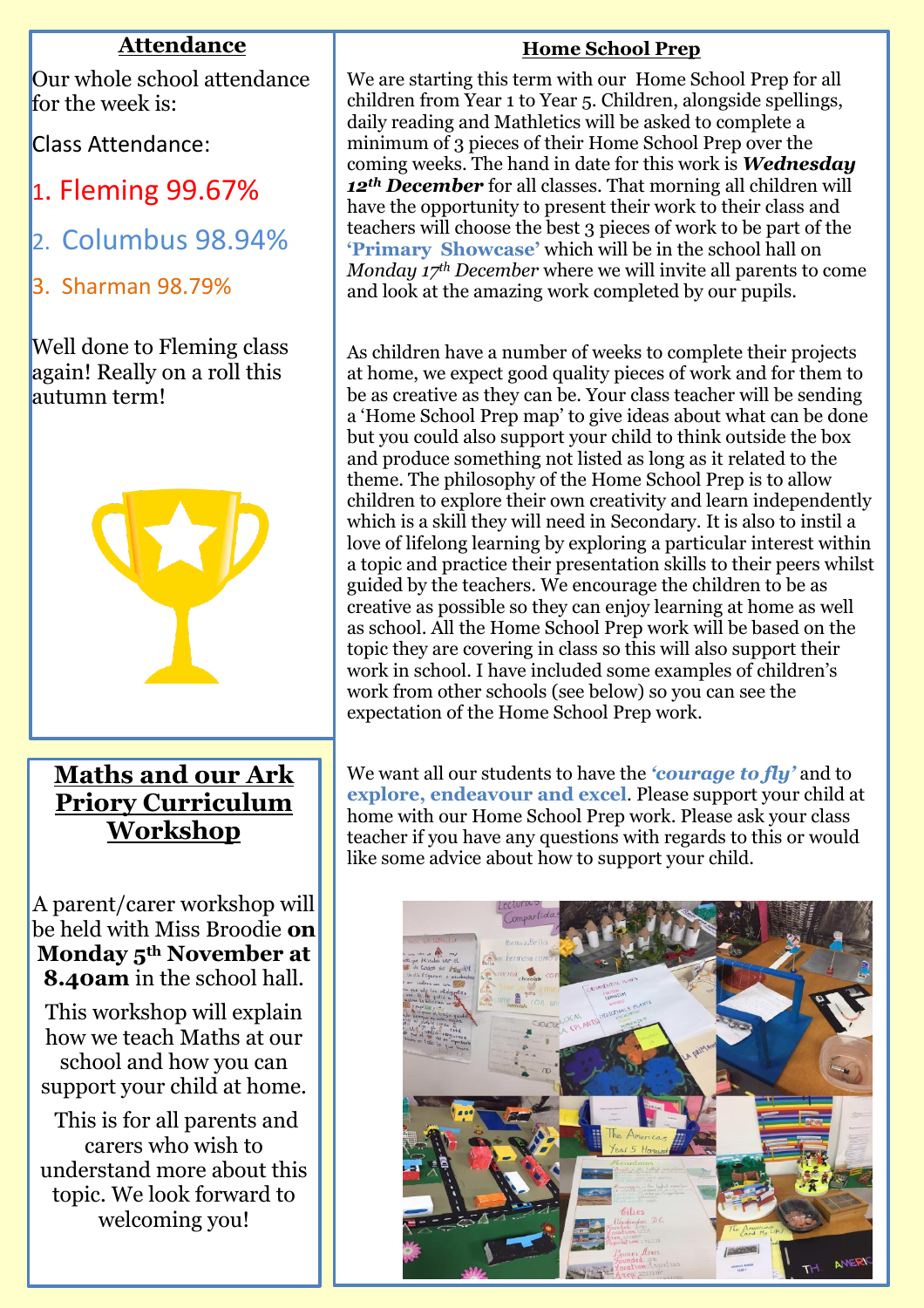## **Attendance**

Our whole school attendance for the week is:

Class Attendance:

- 1. Fleming 99.67%
- 2. Columbus 98.94%
- 3. Sharman 98.79%

Well done to Fleming class again! Really on a roll this autumn term!



# **Maths and our Ark Priory Curriculum Workshop**

A parent/carer workshop will be held with Miss Broodie **on Monday 5th November at 8.40am** in the school hall.

This workshop will explain how we teach Maths at our school and how you can support your child at home.

This is for all parents and carers who wish to understand more about this topic. We look forward to welcoming you!

### **Home School Prep**

We are starting this term with our Home School Prep for all children from Year 1 to Year 5. Children, alongside spellings, daily reading and Mathletics will be asked to complete a minimum of 3 pieces of their Home School Prep over the coming weeks. The hand in date for this work is *Wednesday 12th December* for all classes. That morning all children will have the opportunity to present their work to their class and teachers will choose the best 3 pieces of work to be part of the **'Primary Showcase'** which will be in the school hall on *Monday 17th December* where we will invite all parents to come and look at the amazing work completed by our pupils.

As children have a number of weeks to complete their projects at home, we expect good quality pieces of work and for them to be as creative as they can be. Your class teacher will be sending a 'Home School Prep map' to give ideas about what can be done but you could also support your child to think outside the box and produce something not listed as long as it related to the theme. The philosophy of the Home School Prep is to allow children to explore their own creativity and learn independently which is a skill they will need in Secondary. It is also to instil a love of lifelong learning by exploring a particular interest within a topic and practice their presentation skills to their peers whilst guided by the teachers. We encourage the children to be as creative as possible so they can enjoy learning at home as well as school. All the Home School Prep work will be based on the topic they are covering in class so this will also support their work in school. I have included some examples of children's work from other schools (see below) so you can see the expectation of the Home School Prep work.

We want all our students to have the *'courage to fly'* and to **explore, endeavour and excel**. Please support your child at home with our Home School Prep work. Please ask your class teacher if you have any questions with regards to this or would like some advice about how to support your child.

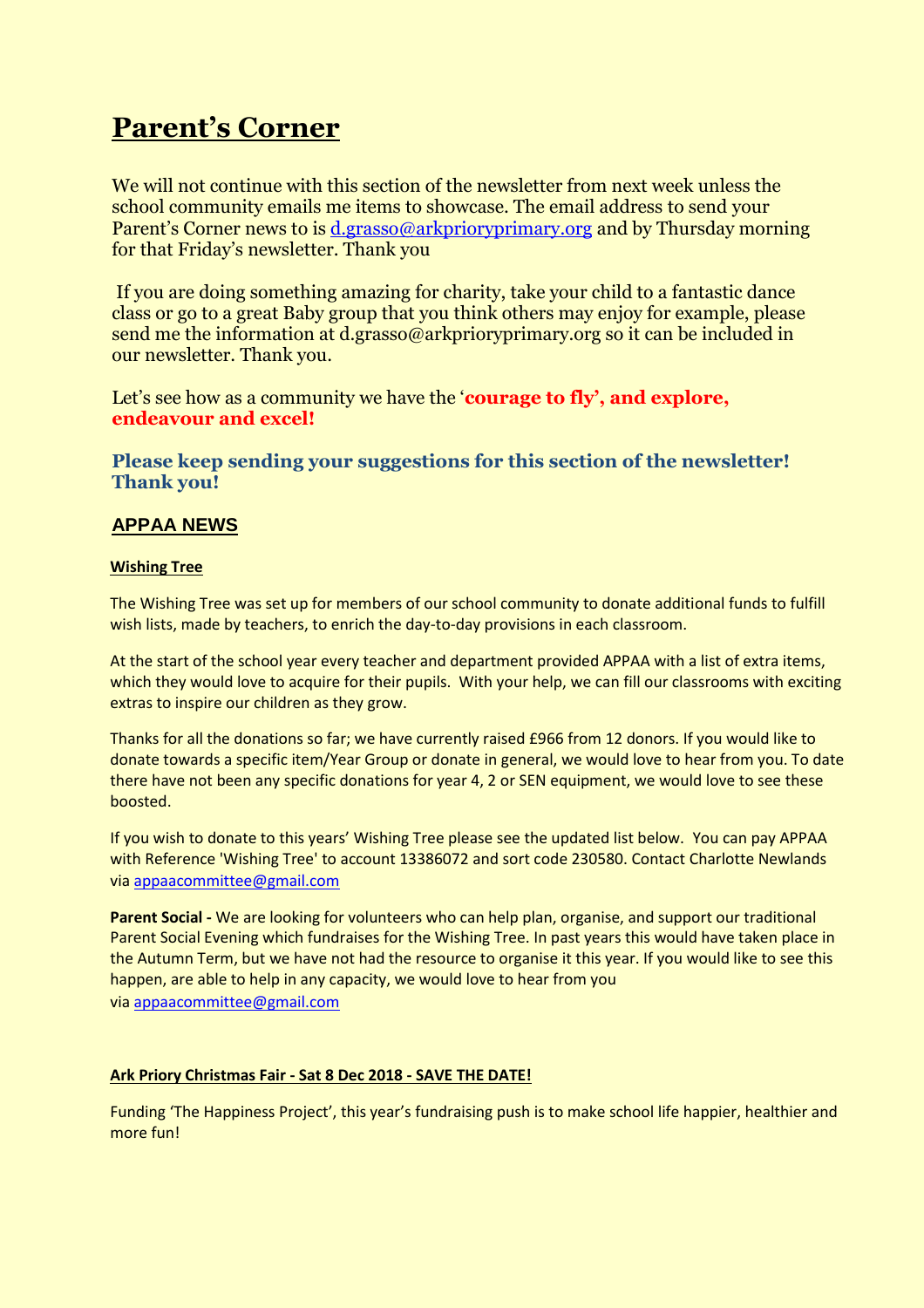# **Parent's Corner**

We will not continue with this section of the newsletter from next week unless the school community emails me items to showcase. The email address to send your Parent's Corner news to is [d.grasso@arkprioryprimary.org](mailto:d.grasso@arkprioryprimary.org) and by Thursday morning for that Friday's newsletter. Thank you

If you are doing something amazing for charity, take your child to a fantastic dance class or go to a great Baby group that you think others may enjoy for example, please send me the information at d.grasso@arkprioryprimary.org so it can be included in our newsletter. Thank you.

Let's see how as a community we have the '**courage to fly'**, and explore, **endeavour and excel!**

**Please keep sending your suggestions for this section of the newsletter! Thank you!**

### **APPAA NEWS**

#### **Wishing Tree**

The Wishing Tree was set up for members of our school community to donate additional funds to fulfill wish lists, made by teachers, to enrich the day-to-day provisions in each classroom.

At the start of the school year every teacher and department provided APPAA with a list of extra items, which they would love to acquire for their pupils. With your help, we can fill our classrooms with exciting extras to inspire our children as they grow.

Thanks for all the donations so far; we have currently raised £966 from 12 donors. If you would like to donate towards a specific item/Year Group or donate in general, we would love to hear from you. To date there have not been any specific donations for year 4, 2 or SEN equipment, we would love to see these boosted.

If you wish to donate to this years' Wishing Tree please see the updated list below. You can pay APPAA with Reference 'Wishing Tree' to account 13386072 and sort code 230580. Contact Charlotte Newlands via [appaacommittee@gmail.com](mailto:appaacommittee@gmail.com)

**Parent Social -** We are looking for volunteers who can help plan, organise, and support our traditional Parent Social Evening which fundraises for the Wishing Tree. In past years this would have taken place in the Autumn Term, but we have not had the resource to organise it this year. If you would like to see this happen, are able to help in any capacity, we would love to hear from you via [appaacommittee@gmail.com](mailto:appaacommittee@gmail.com)

#### **Ark Priory Christmas Fair - Sat 8 Dec 2018 - SAVE THE DATE!**

Funding 'The Happiness Project', this year's fundraising push is to make school life happier, healthier and more fun!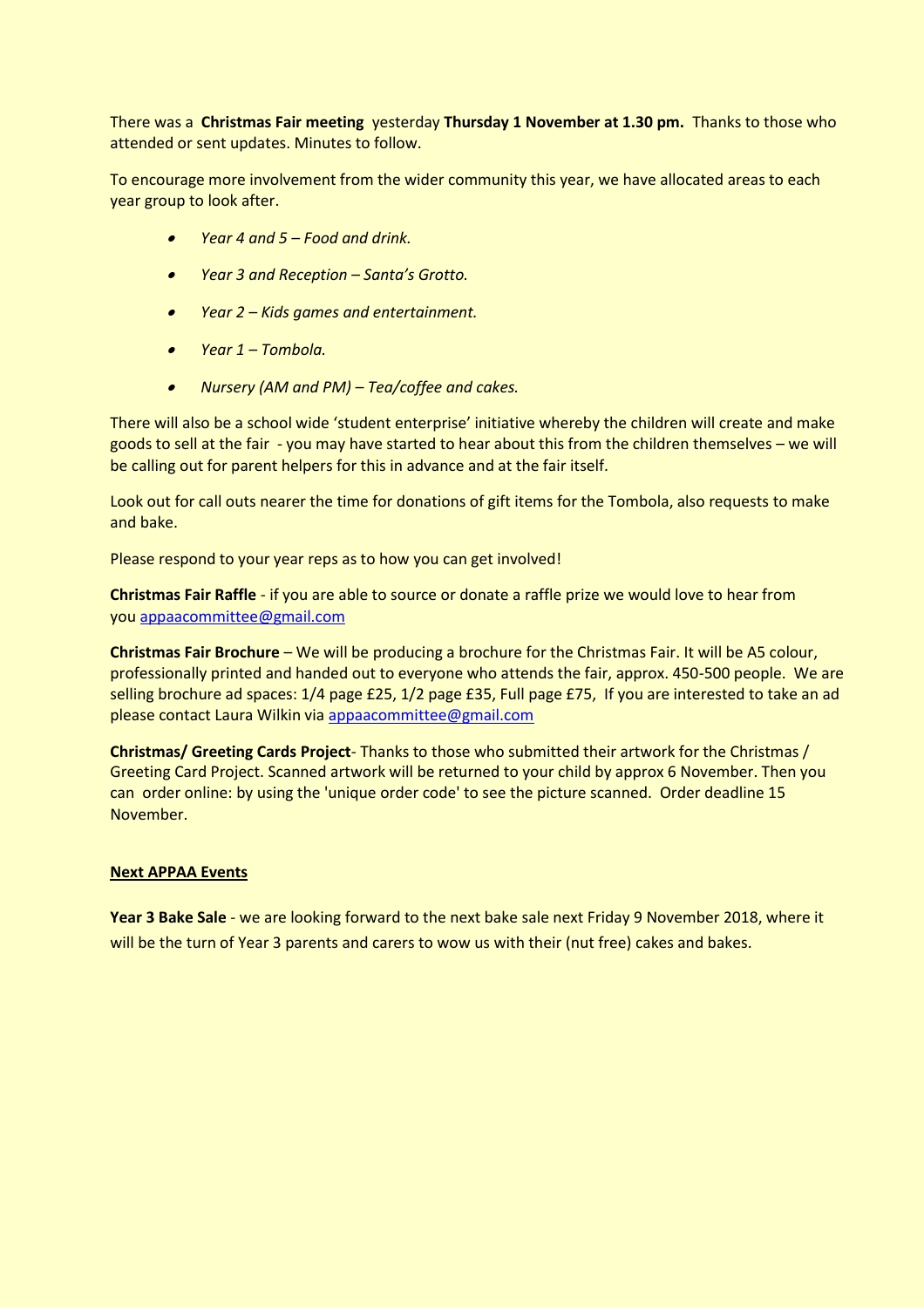There was a **Christmas Fair meeting** yesterday **Thursday 1 November at 1.30 pm.** Thanks to those who attended or sent updates. Minutes to follow.

To encourage more involvement from the wider community this year, we have allocated areas to each year group to look after.

- *Year 4 and 5 – Food and drink.*
- *Year 3 and Reception – Santa's Grotto.*
- *Year 2 – Kids games and entertainment.*
- *Year 1 – Tombola.*
- *Nursery (AM and PM) – Tea/coffee and cakes.*

There will also be a school wide 'student enterprise' initiative whereby the children will create and make goods to sell at the fair - you may have started to hear about this from the children themselves – we will be calling out for parent helpers for this in advance and at the fair itself.

Look out for call outs nearer the time for donations of gift items for the Tombola, also requests to make and bake.

Please respond to your year reps as to how you can get involved!

**Christmas Fair Raffle** - if you are able to source or donate a raffle prize we would love to hear from you [appaacommittee@gmail.com](mailto:appaacommittee@gmail.com)

**Christmas Fair Brochure** – We will be producing a brochure for the Christmas Fair. It will be A5 colour, professionally printed and handed out to everyone who attends the fair, approx. 450-500 people. We are selling brochure ad spaces: 1/4 page £25, 1/2 page £35, Full page £75, If you are interested to take an ad please contact Laura Wilkin via [appaacommittee@gmail.com](mailto:appaacommittee@gmail.com)

**Christmas/ Greeting Cards Project**- Thanks to those who submitted their artwork for the Christmas / Greeting Card Project. Scanned artwork will be returned to your child by approx 6 November. Then you can order online: by using the 'unique order code' to see the picture scanned. Order deadline 15 November.

#### **Next APPAA Events**

**Year 3 Bake Sale** - we are looking forward to the next bake sale next Friday 9 November 2018, where it will be the turn of Year 3 parents and carers to wow us with their (nut free) cakes and bakes.